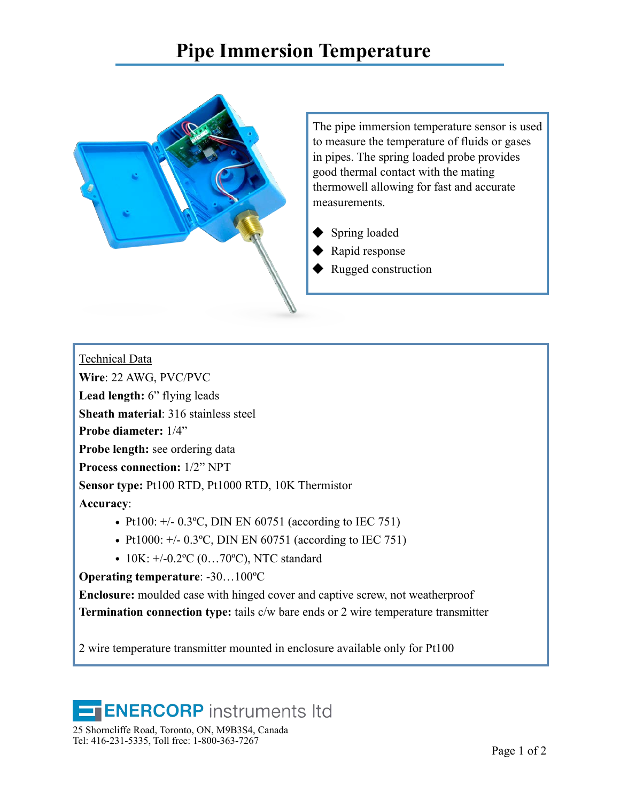## **Pipe Immersion Temperature**



The pipe immersion temperature sensor is used to measure the temperature of fluids or gases in pipes. The spring loaded probe provides good thermal contact with the mating thermowell allowing for fast and accurate measurements.

- Spring loaded
- Rapid response
- Rugged construction

Technical Data

**Wire**: 22 AWG, PVC/PVC

**Lead length:** 6" flying leads

**Sheath material**: 316 stainless steel

**Probe diameter:** 1/4"

**Probe length:** see ordering data

**Process connection:** 1/2" NPT

**Sensor type:** Pt100 RTD, Pt1000 RTD, 10K Thermistor

**Accuracy**:

- **•** Pt100: +/- 0.3ºC, DIN EN 60751 (according to IEC 751)
- **•** Pt1000: +/- 0.3ºC, DIN EN 60751 (according to IEC 751)
- **•** 10K: +/-0.2ºC (0…70ºC), NTC standard

**Operating temperature**: -30…100ºC

**Enclosure:** moulded case with hinged cover and captive screw, not weatherproof **Termination connection type:** tails c/w bare ends or 2 wire temperature transmitter

2 wire temperature transmitter mounted in enclosure available only for Pt100

## **ENERCORP** instruments Itd

25 Shorncliffe Road, Toronto, ON, M9B3S4, Canada Tel: 416-231-5335, Toll free: 1-800-363-7267